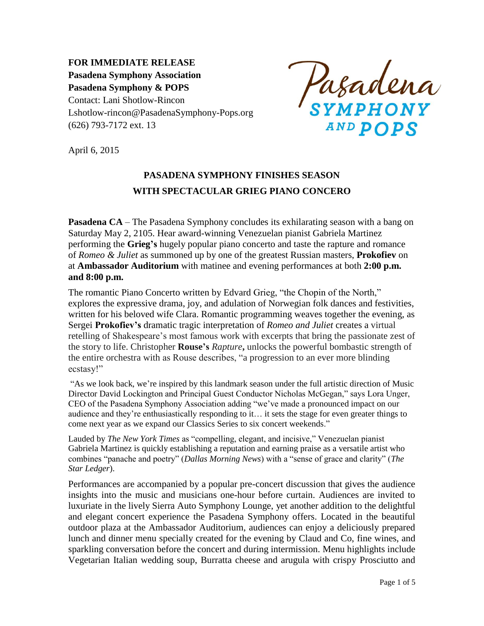**FOR IMMEDIATE RELEASE Pasadena Symphony Association Pasadena Symphony & POPS** Contact: Lani Shotlow-Rincon Lshotlow-rincon@PasadenaSymphony-Pops.org (626) 793-7172 ext. 13

Pasadena **AND POPS** 

April 6, 2015

# **PASADENA SYMPHONY FINISHES SEASON WITH SPECTACULAR GRIEG PIANO CONCERO**

**Pasadena CA** – The Pasadena Symphony concludes its exhilarating season with a bang on Saturday May 2, 2105. Hear award-winning Venezuelan pianist Gabriela Martinez performing the **Grieg's** hugely popular piano concerto and taste the rapture and romance of *Romeo & Juliet* as summoned up by one of the greatest Russian masters, **Prokofiev** on at **Ambassador Auditorium** with matinee and evening performances at both **2:00 p.m. and 8:00 p.m.**

The romantic Piano Concerto written by Edvard Grieg, "the Chopin of the North," explores the expressive drama, joy, and adulation of Norwegian folk dances and festivities, written for his beloved wife Clara. Romantic programming weaves together the evening, as Sergei **Prokofiev's** dramatic tragic interpretation of *Romeo and Juliet* creates a virtual retelling of Shakespeare's most famous work with excerpts that bring the passionate zest of the story to life. Christopher **Rouse's** *Rapture***,** unlocks the powerful bombastic strength of the entire orchestra with as Rouse describes, "a progression to an ever more blinding ecstasy!"

"As we look back, we're inspired by this landmark season under the full artistic direction of Music Director David Lockington and Principal Guest Conductor Nicholas McGegan," says Lora Unger, CEO of the Pasadena Symphony Association adding "we've made a pronounced impact on our audience and they're enthusiastically responding to it… it sets the stage for even greater things to come next year as we expand our Classics Series to six concert weekends."

Lauded by *The New York Times* as "compelling, elegant, and incisive," Venezuelan pianist Gabriela Martinez is quickly establishing a reputation and earning praise as a versatile artist who combines "panache and poetry" (*Dallas Morning News*) with a "sense of grace and clarity" (*The Star Ledger*).

Performances are accompanied by a popular pre-concert discussion that gives the audience insights into the music and musicians one-hour before curtain. Audiences are invited to luxuriate in the lively Sierra Auto Symphony Lounge, yet another addition to the delightful and elegant concert experience the Pasadena Symphony offers. Located in the beautiful outdoor plaza at the Ambassador Auditorium, audiences can enjoy a deliciously prepared lunch and dinner menu specially created for the evening by Claud and Co, fine wines, and sparkling conversation before the concert and during intermission. Menu highlights include Vegetarian Italian wedding soup, Burratta cheese and arugula with crispy Prosciutto and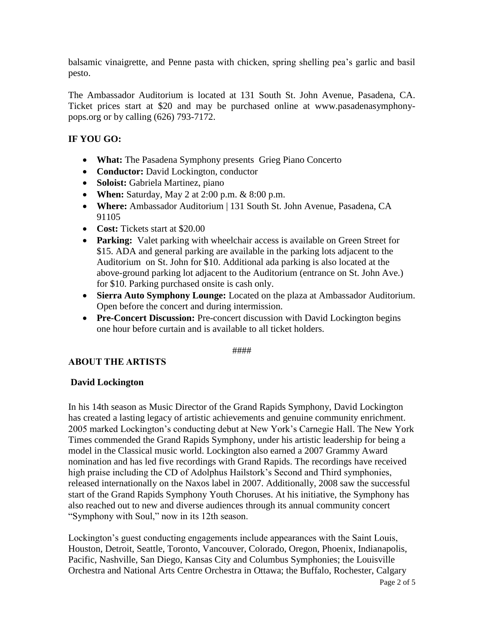balsamic vinaigrette, and Penne pasta with chicken, spring shelling pea's garlic and basil pesto.

The Ambassador Auditorium is located at 131 South St. John Avenue, Pasadena, CA. Ticket prices start at \$20 and may be purchased online at www.pasadenasymphonypops.org or by calling (626) 793-7172.

# **IF YOU GO:**

- **What:** The Pasadena Symphony presents Grieg Piano Concerto
- **Conductor:** David Lockington, conductor
- **Soloist:** Gabriela Martinez, piano
- **When:** Saturday, May 2 at 2:00 p.m. & 8:00 p.m.
- **Where:** Ambassador Auditorium | 131 South St. John Avenue, Pasadena, CA 91105
- **Cost:** Tickets start at \$20.00
- **Parking:** Valet parking with wheelchair access is available on Green Street for \$15. ADA and general parking are available in the parking lots adjacent to the Auditorium on St. John for \$10. Additional ada parking is also located at the above-ground parking lot adjacent to the Auditorium (entrance on St. John Ave.) for \$10. Parking purchased onsite is cash only.
- **Sierra Auto Symphony Lounge:** Located on the plaza at Ambassador Auditorium. Open before the concert and during intermission.
- **Pre-Concert Discussion:** Pre-concert discussion with David Lockington begins one hour before curtain and is available to all ticket holders.

#### ####

## **ABOUT THE ARTISTS**

#### **David Lockington**

In his 14th season as Music Director of the Grand Rapids Symphony, David Lockington has created a lasting legacy of artistic achievements and genuine community enrichment. 2005 marked Lockington's conducting debut at New York's Carnegie Hall. The New York Times commended the Grand Rapids Symphony, under his artistic leadership for being a model in the Classical music world. Lockington also earned a 2007 Grammy Award nomination and has led five recordings with Grand Rapids. The recordings have received high praise including the CD of Adolphus Hailstork's Second and Third symphonies, released internationally on the Naxos label in 2007. Additionally, 2008 saw the successful start of the Grand Rapids Symphony Youth Choruses. At his initiative, the Symphony has also reached out to new and diverse audiences through its annual community concert "Symphony with Soul," now in its 12th season.

Lockington's guest conducting engagements include appearances with the Saint Louis, Houston, Detroit, Seattle, Toronto, Vancouver, Colorado, Oregon, Phoenix, Indianapolis, Pacific, Nashville, San Diego, Kansas City and Columbus Symphonies; the Louisville Orchestra and National Arts Centre Orchestra in Ottawa; the Buffalo, Rochester, Calgary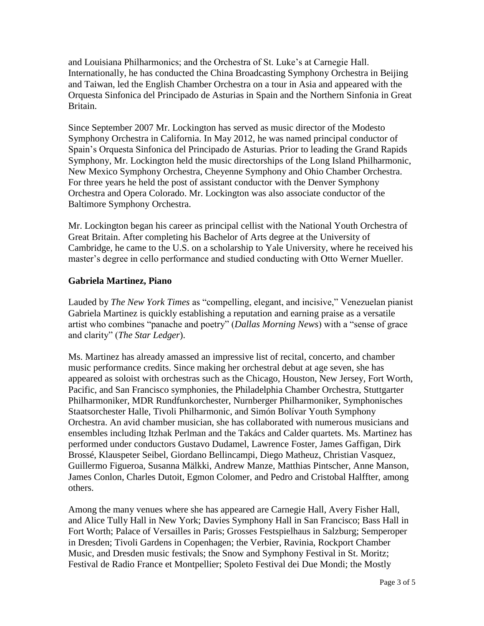and Louisiana Philharmonics; and the Orchestra of St. Luke's at Carnegie Hall. Internationally, he has conducted the China Broadcasting Symphony Orchestra in Beijing and Taiwan, led the English Chamber Orchestra on a tour in Asia and appeared with the Orquesta Sinfonica del Principado de Asturias in Spain and the Northern Sinfonia in Great Britain.

Since September 2007 Mr. Lockington has served as music director of the Modesto Symphony Orchestra in California. In May 2012, he was named principal conductor of Spain's Orquesta Sinfonica del Principado de Asturias. Prior to leading the Grand Rapids Symphony, Mr. Lockington held the music directorships of the Long Island Philharmonic, New Mexico Symphony Orchestra, Cheyenne Symphony and Ohio Chamber Orchestra. For three years he held the post of assistant conductor with the Denver Symphony Orchestra and Opera Colorado. Mr. Lockington was also associate conductor of the Baltimore Symphony Orchestra.

Mr. Lockington began his career as principal cellist with the National Youth Orchestra of Great Britain. After completing his Bachelor of Arts degree at the University of Cambridge, he came to the U.S. on a scholarship to Yale University, where he received his master's degree in cello performance and studied conducting with Otto Werner Mueller.

#### **Gabriela Martinez, Piano**

Lauded by *The New York Times* as "compelling, elegant, and incisive," Venezuelan pianist Gabriela Martinez is quickly establishing a reputation and earning praise as a versatile artist who combines "panache and poetry" (*Dallas Morning News*) with a "sense of grace and clarity" (*The Star Ledger*).

Ms. Martinez has already amassed an impressive list of recital, concerto, and chamber music performance credits. Since making her orchestral debut at age seven, she has appeared as soloist with orchestras such as the Chicago, Houston, New Jersey, Fort Worth, Pacific, and San Francisco symphonies, the Philadelphia Chamber Orchestra, Stuttgarter Philharmoniker, MDR Rundfunkorchester, Nurnberger Philharmoniker, Symphonisches Staatsorchester Halle, Tivoli Philharmonic, and Simón Bolívar Youth Symphony Orchestra. An avid chamber musician, she has collaborated with numerous musicians and ensembles including Itzhak Perlman and the Takács and Calder quartets. Ms. Martinez has performed under conductors Gustavo Dudamel, Lawrence Foster, James Gaffigan, Dirk Brossé, Klauspeter Seibel, Giordano Bellincampi, Diego Matheuz, Christian Vasquez, Guillermo Figueroa, Susanna Mälkki, Andrew Manze, Matthias Pintscher, Anne Manson, James Conlon, Charles Dutoit, Egmon Colomer, and Pedro and Cristobal Halffter, among others.

Among the many venues where she has appeared are Carnegie Hall, Avery Fisher Hall, and Alice Tully Hall in New York; Davies Symphony Hall in San Francisco; Bass Hall in Fort Worth; Palace of Versailles in Paris; Grosses Festspielhaus in Salzburg; Semperoper in Dresden; Tivoli Gardens in Copenhagen; the Verbier, Ravinia, Rockport Chamber Music, and Dresden music festivals; the Snow and Symphony Festival in St. Moritz; Festival de Radio France et Montpellier; Spoleto Festival dei Due Mondi; the Mostly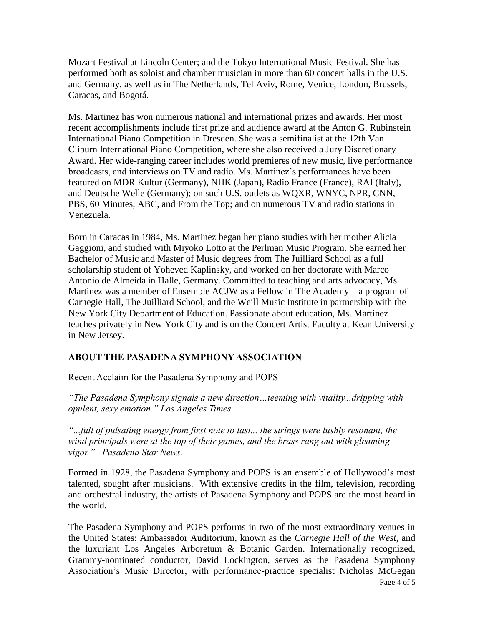Mozart Festival at Lincoln Center; and the Tokyo International Music Festival. She has performed both as soloist and chamber musician in more than 60 concert halls in the U.S. and Germany, as well as in The Netherlands, Tel Aviv, Rome, Venice, London, Brussels, Caracas, and Bogotá.

Ms. Martinez has won numerous national and international prizes and awards. Her most recent accomplishments include first prize and audience award at the Anton G. Rubinstein International Piano Competition in Dresden. She was a semifinalist at the 12th Van Cliburn International Piano Competition, where she also received a Jury Discretionary Award. Her wide-ranging career includes world premieres of new music, live performance broadcasts, and interviews on TV and radio. Ms. Martinez's performances have been featured on MDR Kultur (Germany), NHK (Japan), Radio France (France), RAI (Italy), and Deutsche Welle (Germany); on such U.S. outlets as WQXR, WNYC, NPR, CNN, PBS, 60 Minutes, ABC, and From the Top; and on numerous TV and radio stations in Venezuela.

Born in Caracas in 1984, Ms. Martinez began her piano studies with her mother Alicia Gaggioni, and studied with Miyoko Lotto at the Perlman Music Program. She earned her Bachelor of Music and Master of Music degrees from The Juilliard School as a full scholarship student of Yoheved Kaplinsky, and worked on her doctorate with Marco Antonio de Almeida in Halle, Germany. Committed to teaching and arts advocacy, Ms. Martinez was a member of Ensemble ACJW as a Fellow in The Academy—a program of Carnegie Hall, The Juilliard School, and the Weill Music Institute in partnership with the New York City Department of Education. Passionate about education, Ms. Martinez teaches privately in New York City and is on the Concert Artist Faculty at Kean University in New Jersey.

## **ABOUT THE PASADENA SYMPHONY ASSOCIATION**

Recent Acclaim for the Pasadena Symphony and POPS

*"The Pasadena Symphony signals a new direction…teeming with vitality...dripping with opulent, sexy emotion." Los Angeles Times.* 

*"...full of pulsating energy from first note to last... the strings were lushly resonant, the wind principals were at the top of their games, and the brass rang out with gleaming vigor." –Pasadena Star News.*

Formed in 1928, the Pasadena Symphony and POPS is an ensemble of Hollywood's most talented, sought after musicians. With extensive credits in the film, television, recording and orchestral industry, the artists of Pasadena Symphony and POPS are the most heard in the world.

The Pasadena Symphony and POPS performs in two of the most extraordinary venues in the United States: Ambassador Auditorium, known as the *Carnegie Hall of the West,* and the luxuriant Los Angeles Arboretum & Botanic Garden. Internationally recognized, Grammy-nominated conductor, David Lockington, serves as the Pasadena Symphony Association's Music Director, with performance-practice specialist Nicholas McGegan